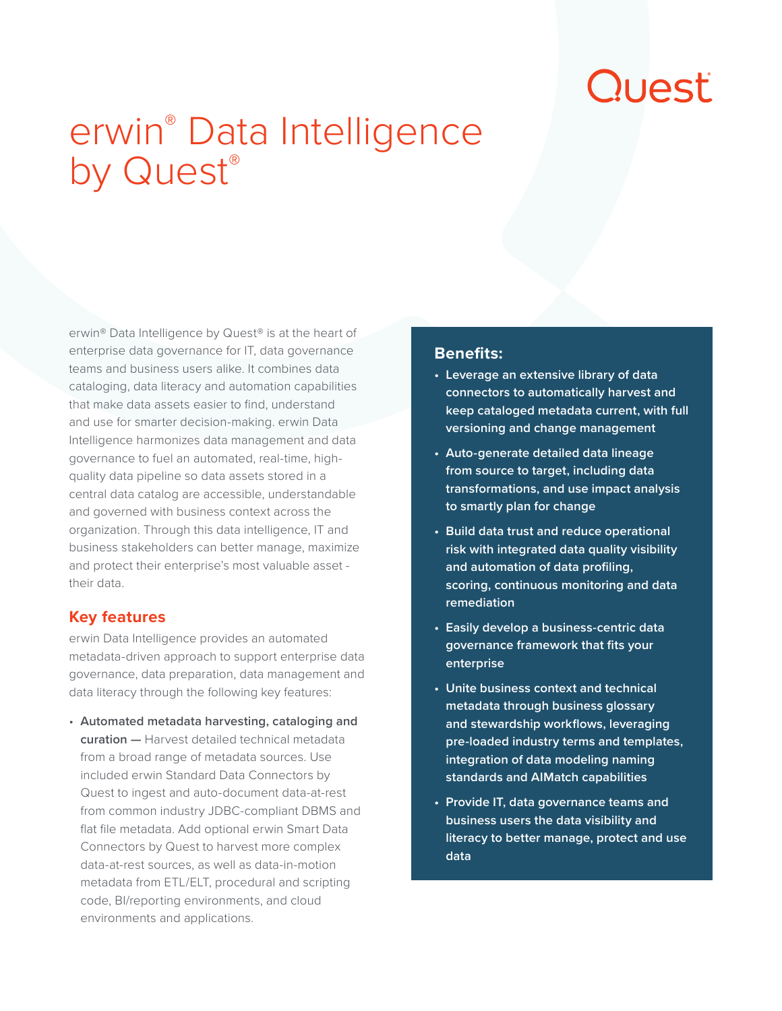# Quest

## erwin® Data Intelligence by Quest®

erwin® Data Intelligence by Quest® is at the heart of enterprise data governance for IT, data governance teams and business users alike. It combines data cataloging, data literacy and automation capabilities that make data assets easier to find, understand and use for smarter decision-making. erwin Data Intelligence harmonizes data management and data governance to fuel an automated, real-time, highquality data pipeline so data assets stored in a central data catalog are accessible, understandable and governed with business context across the organization. Through this data intelligence, IT and business stakeholders can better manage, maximize and protect their enterprise's most valuable asset their data.

#### **Key features**

erwin Data Intelligence provides an automated metadata-driven approach to support enterprise data governance, data preparation, data management and data literacy through the following key features:

• **Automated metadata harvesting, cataloging and curation —** Harvest detailed technical metadata from a broad range of metadata sources. Use included erwin Standard Data Connectors by Quest to ingest and auto-document data-at-rest from common industry JDBC-compliant DBMS and flat file metadata. Add optional erwin Smart Data Connectors by Quest to harvest more complex data-at-rest sources, as well as data-in-motion metadata from ETL/ELT, procedural and scripting code, BI/reporting environments, and cloud environments and applications.

#### **Benefits:**

- **• Leverage an extensive library of data connectors to automatically harvest and keep cataloged metadata current, with full versioning and change management**
- **• Auto-generate detailed data lineage from source to target, including data transformations, and use impact analysis to smartly plan for change**
- **• Build data trust and reduce operational risk with integrated data quality visibility and automation of data profiling, scoring, continuous monitoring and data remediation**
- **• Easily develop a business-centric data governance framework that fits your enterprise**
- **• Unite business context and technical metadata through business glossary and stewardship workflows, leveraging pre-loaded industry terms and templates, integration of data modeling naming standards and AIMatch capabilities**
- **• Provide IT, data governance teams and business users the data visibility and literacy to better manage, protect and use data**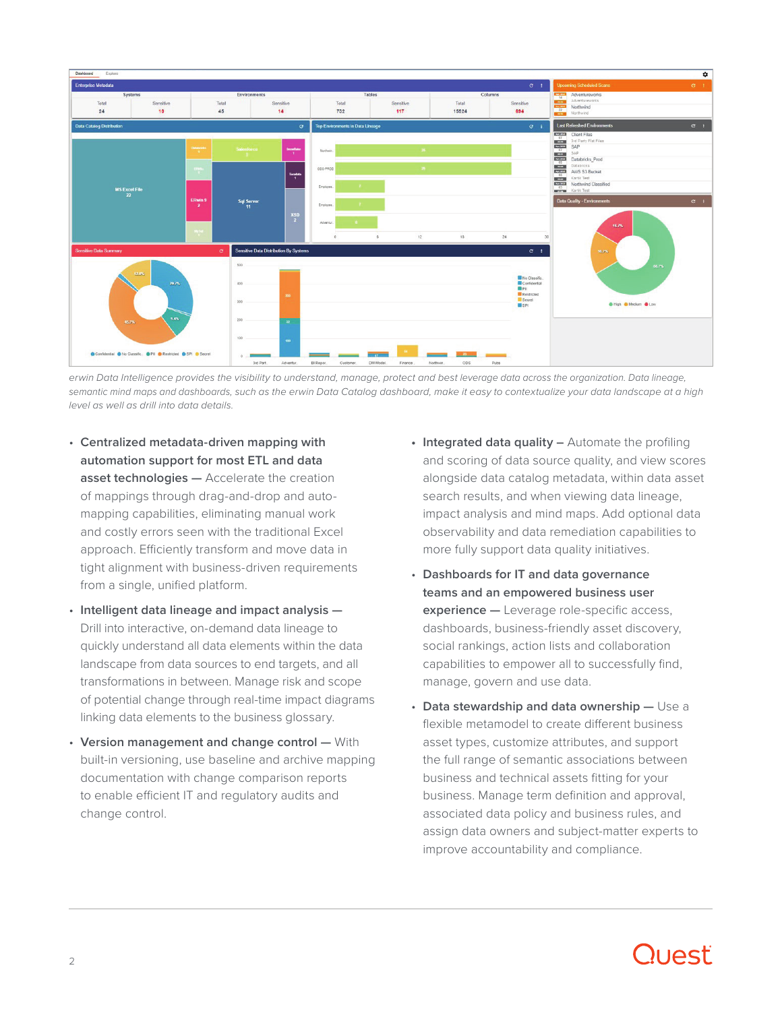

erwin Data Intelligence provides the visibility to understand, manage, protect and best leverage data across the organization. Data lineage, *semantic mind maps and dashboards, such as the erwin Data Catalog dashboard, make it easy to contextualize your data landscape at a high level as well as drill into data details.*

- **Centralized metadata-driven mapping with automation support for most ETL and data asset technologies —** Accelerate the creation of mappings through drag-and-drop and automapping capabilities, eliminating manual work and costly errors seen with the traditional Excel approach. Efficiently transform and move data in tight alignment with business-driven requirements from a single, unified platform.
- **Intelligent data lineage and impact analysis —** Drill into interactive, on-demand data lineage to quickly understand all data elements within the data landscape from data sources to end targets, and all transformations in between. Manage risk and scope of potential change through real-time impact diagrams linking data elements to the business glossary.
- **Version management and change control —** With built-in versioning, use baseline and archive mapping documentation with change comparison reports to enable efficient IT and regulatory audits and change control.
- **• Integrated data quality –** Automate the profiling and scoring of data source quality, and view scores alongside data catalog metadata, within data asset search results, and when viewing data lineage, impact analysis and mind maps. Add optional data observability and data remediation capabilities to more fully support data quality initiatives.
- **Dashboards for IT and data governance teams and an empowered business user experience —** Leverage role-specific access, dashboards, business-friendly asset discovery, social rankings, action lists and collaboration capabilities to empower all to successfully find, manage, govern and use data.
- **Data stewardship and data ownership —** Use a flexible metamodel to create different business asset types, customize attributes, and support the full range of semantic associations between business and technical assets fitting for your business. Manage term definition and approval, associated data policy and business rules, and assign data owners and subject-matter experts to improve accountability and compliance.

### Trail